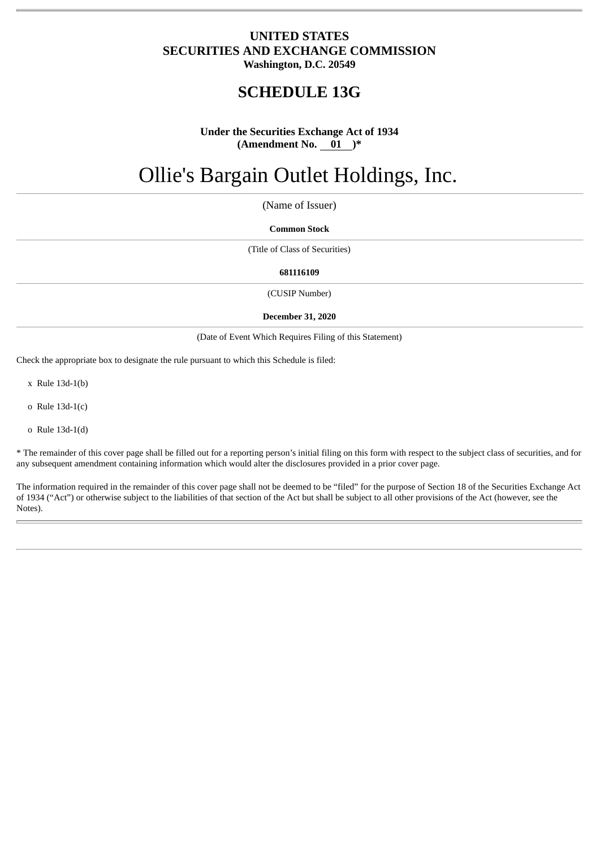## **UNITED STATES SECURITIES AND EXCHANGE COMMISSION Washington, D.C. 20549**

## **SCHEDULE 13G**

## **Under the Securities Exchange Act of 1934 (Amendment No. 01 )\***

# Ollie's Bargain Outlet Holdings, Inc.

(Name of Issuer)

#### **Common Stock**

(Title of Class of Securities)

#### **681116109**

(CUSIP Number)

#### **December 31, 2020**

(Date of Event Which Requires Filing of this Statement)

Check the appropriate box to designate the rule pursuant to which this Schedule is filed:

x Rule 13d-1(b)

o Rule 13d-1(c)

o Rule 13d-1(d)

\* The remainder of this cover page shall be filled out for a reporting person's initial filing on this form with respect to the subject class of securities, and for any subsequent amendment containing information which would alter the disclosures provided in a prior cover page.

The information required in the remainder of this cover page shall not be deemed to be "filed" for the purpose of Section 18 of the Securities Exchange Act of 1934 ("Act") or otherwise subject to the liabilities of that section of the Act but shall be subject to all other provisions of the Act (however, see the Notes).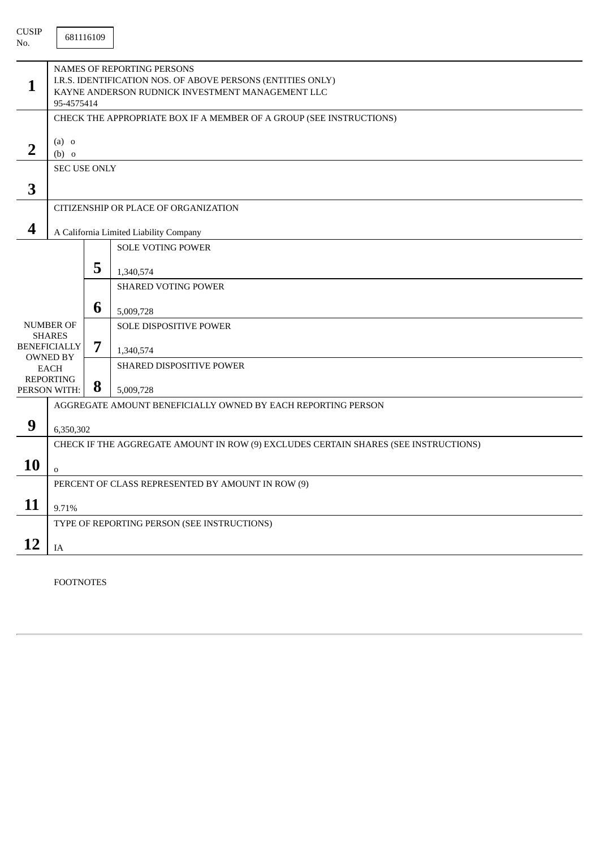| <b>CUSIP</b><br>No.      |                                                                                                                                                             | 681116109 |                                                                    |  |  |  |  |  |
|--------------------------|-------------------------------------------------------------------------------------------------------------------------------------------------------------|-----------|--------------------------------------------------------------------|--|--|--|--|--|
| 1                        | NAMES OF REPORTING PERSONS<br>I.R.S. IDENTIFICATION NOS. OF ABOVE PERSONS (ENTITIES ONLY)<br>KAYNE ANDERSON RUDNICK INVESTMENT MANAGEMENT LLC<br>95-4575414 |           |                                                                    |  |  |  |  |  |
|                          | CHECK THE APPROPRIATE BOX IF A MEMBER OF A GROUP (SEE INSTRUCTIONS)                                                                                         |           |                                                                    |  |  |  |  |  |
| $\overline{2}$           | $(a)$ o<br>$(b)$ o                                                                                                                                          |           |                                                                    |  |  |  |  |  |
|                          | <b>SEC USE ONLY</b>                                                                                                                                         |           |                                                                    |  |  |  |  |  |
| 3                        |                                                                                                                                                             |           |                                                                    |  |  |  |  |  |
|                          |                                                                                                                                                             |           | CITIZENSHIP OR PLACE OF ORGANIZATION                               |  |  |  |  |  |
| 4                        |                                                                                                                                                             |           |                                                                    |  |  |  |  |  |
|                          |                                                                                                                                                             |           | A California Limited Liability Company<br><b>SOLE VOTING POWER</b> |  |  |  |  |  |
|                          |                                                                                                                                                             |           |                                                                    |  |  |  |  |  |
|                          |                                                                                                                                                             | 5         | 1,340,574                                                          |  |  |  |  |  |
|                          |                                                                                                                                                             |           | <b>SHARED VOTING POWER</b>                                         |  |  |  |  |  |
|                          |                                                                                                                                                             | 6         | 5,009,728                                                          |  |  |  |  |  |
| <b>NUMBER OF</b>         |                                                                                                                                                             |           | <b>SOLE DISPOSITIVE POWER</b>                                      |  |  |  |  |  |
|                          | <b>SHARES</b><br><b>BENEFICIALLY</b>                                                                                                                        | 7         | 1,340,574                                                          |  |  |  |  |  |
|                          | <b>OWNED BY</b>                                                                                                                                             |           | SHARED DISPOSITIVE POWER                                           |  |  |  |  |  |
| EACH<br><b>REPORTING</b> |                                                                                                                                                             |           |                                                                    |  |  |  |  |  |
|                          | PERSON WITH:                                                                                                                                                | 8         | 5,009,728                                                          |  |  |  |  |  |
|                          |                                                                                                                                                             |           | AGGREGATE AMOUNT BENEFICIALLY OWNED BY EACH REPORTING PERSON       |  |  |  |  |  |
| 9                        | 6,350,302                                                                                                                                                   |           |                                                                    |  |  |  |  |  |
|                          | CHECK IF THE AGGREGATE AMOUNT IN ROW (9) EXCLUDES CERTAIN SHARES (SEE INSTRUCTIONS)                                                                         |           |                                                                    |  |  |  |  |  |
| <b>10</b>                | $\mathbf 0$                                                                                                                                                 |           |                                                                    |  |  |  |  |  |
|                          |                                                                                                                                                             |           | PERCENT OF CLASS REPRESENTED BY AMOUNT IN ROW (9)                  |  |  |  |  |  |
| 11                       | 9.71%                                                                                                                                                       |           |                                                                    |  |  |  |  |  |
|                          |                                                                                                                                                             |           | TYPE OF REPORTING PERSON (SEE INSTRUCTIONS)                        |  |  |  |  |  |
| 12                       | IA                                                                                                                                                          |           |                                                                    |  |  |  |  |  |

FOOTNOTES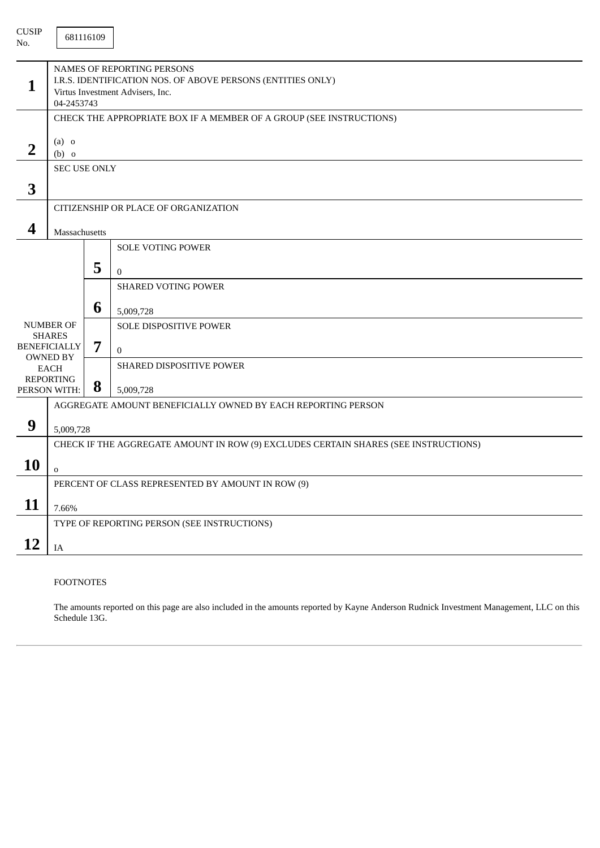| <b>CUSIP</b><br>No.              |                                                                                                                                                    | 681116109 |                                                                           |  |  |  |  |  |
|----------------------------------|----------------------------------------------------------------------------------------------------------------------------------------------------|-----------|---------------------------------------------------------------------------|--|--|--|--|--|
| 1                                | <b>NAMES OF REPORTING PERSONS</b><br>I.R.S. IDENTIFICATION NOS. OF ABOVE PERSONS (ENTITIES ONLY)<br>Virtus Investment Advisers, Inc.<br>04-2453743 |           |                                                                           |  |  |  |  |  |
|                                  | CHECK THE APPROPRIATE BOX IF A MEMBER OF A GROUP (SEE INSTRUCTIONS)                                                                                |           |                                                                           |  |  |  |  |  |
| $\overline{2}$                   | $(a)$ o<br>$(b)$ o                                                                                                                                 |           |                                                                           |  |  |  |  |  |
|                                  | <b>SEC USE ONLY</b>                                                                                                                                |           |                                                                           |  |  |  |  |  |
| 3                                |                                                                                                                                                    |           |                                                                           |  |  |  |  |  |
|                                  |                                                                                                                                                    |           | CITIZENSHIP OR PLACE OF ORGANIZATION                                      |  |  |  |  |  |
| 4                                | Massachusetts                                                                                                                                      |           |                                                                           |  |  |  |  |  |
|                                  |                                                                                                                                                    |           | <b>SOLE VOTING POWER</b>                                                  |  |  |  |  |  |
|                                  |                                                                                                                                                    | 5         |                                                                           |  |  |  |  |  |
|                                  |                                                                                                                                                    |           | $\overline{0}$<br><b>SHARED VOTING POWER</b>                              |  |  |  |  |  |
|                                  |                                                                                                                                                    | 6         | 5,009,728                                                                 |  |  |  |  |  |
|                                  | <b>NUMBER OF</b><br><b>SHARES</b>                                                                                                                  |           | <b>SOLE DISPOSITIVE POWER</b>                                             |  |  |  |  |  |
|                                  | <b>BENEFICIALLY</b>                                                                                                                                | 7         | $\mathbf{0}$                                                              |  |  |  |  |  |
| <b>OWNED BY</b><br><b>EACH</b>   |                                                                                                                                                    |           | SHARED DISPOSITIVE POWER                                                  |  |  |  |  |  |
| <b>REPORTING</b><br>PERSON WITH: |                                                                                                                                                    | 8         |                                                                           |  |  |  |  |  |
|                                  |                                                                                                                                                    |           | 5,009,728<br>AGGREGATE AMOUNT BENEFICIALLY OWNED BY EACH REPORTING PERSON |  |  |  |  |  |
| 9                                |                                                                                                                                                    |           |                                                                           |  |  |  |  |  |
|                                  | 5,009,728                                                                                                                                          |           |                                                                           |  |  |  |  |  |
|                                  | CHECK IF THE AGGREGATE AMOUNT IN ROW (9) EXCLUDES CERTAIN SHARES (SEE INSTRUCTIONS)                                                                |           |                                                                           |  |  |  |  |  |
| 10                               | $\mathbf 0$                                                                                                                                        |           |                                                                           |  |  |  |  |  |
|                                  | PERCENT OF CLASS REPRESENTED BY AMOUNT IN ROW (9)                                                                                                  |           |                                                                           |  |  |  |  |  |
| 11                               | 7.66%                                                                                                                                              |           |                                                                           |  |  |  |  |  |
|                                  |                                                                                                                                                    |           | TYPE OF REPORTING PERSON (SEE INSTRUCTIONS)                               |  |  |  |  |  |
| 12                               | $\rm IA$                                                                                                                                           |           |                                                                           |  |  |  |  |  |

## FOOTNOTES

The amounts reported on this page are also included in the amounts reported by Kayne Anderson Rudnick Investment Management, LLC on this Schedule 13G.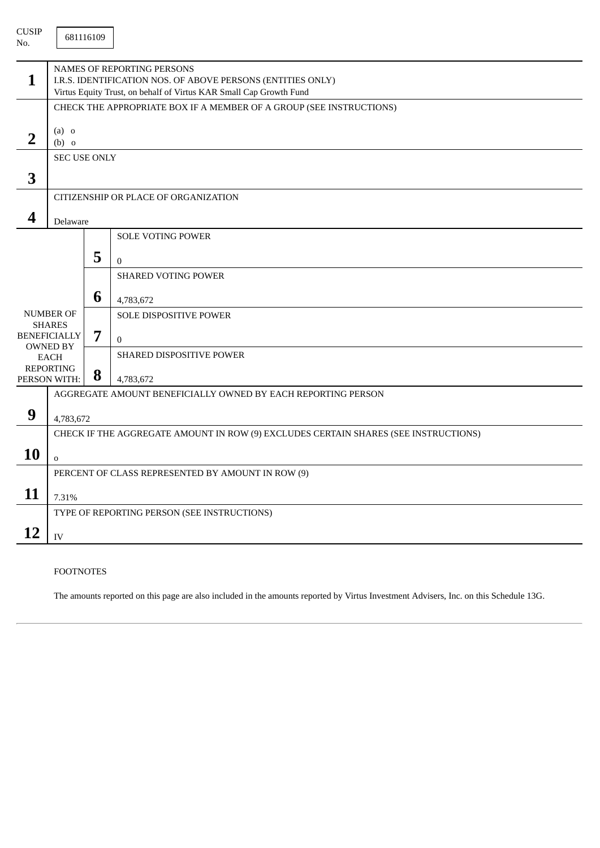| <b>CUSIP</b><br>No.              |                                                                                                                                                                 | 681116109 |                                                              |  |  |  |  |
|----------------------------------|-----------------------------------------------------------------------------------------------------------------------------------------------------------------|-----------|--------------------------------------------------------------|--|--|--|--|
| 1                                | NAMES OF REPORTING PERSONS<br>I.R.S. IDENTIFICATION NOS. OF ABOVE PERSONS (ENTITIES ONLY)<br>Virtus Equity Trust, on behalf of Virtus KAR Small Cap Growth Fund |           |                                                              |  |  |  |  |
|                                  | CHECK THE APPROPRIATE BOX IF A MEMBER OF A GROUP (SEE INSTRUCTIONS)                                                                                             |           |                                                              |  |  |  |  |
| $\overline{2}$                   | $(a)$ o<br>$(b)$ o                                                                                                                                              |           |                                                              |  |  |  |  |
|                                  | <b>SEC USE ONLY</b>                                                                                                                                             |           |                                                              |  |  |  |  |
| 3                                |                                                                                                                                                                 |           |                                                              |  |  |  |  |
|                                  |                                                                                                                                                                 |           | CITIZENSHIP OR PLACE OF ORGANIZATION                         |  |  |  |  |
| $\boldsymbol{4}$                 | Delaware                                                                                                                                                        |           |                                                              |  |  |  |  |
|                                  |                                                                                                                                                                 |           | <b>SOLE VOTING POWER</b>                                     |  |  |  |  |
|                                  |                                                                                                                                                                 | 5         | $\Omega$                                                     |  |  |  |  |
|                                  |                                                                                                                                                                 |           | <b>SHARED VOTING POWER</b>                                   |  |  |  |  |
|                                  |                                                                                                                                                                 | 6         | 4,783,672                                                    |  |  |  |  |
|                                  | <b>NUMBER OF</b>                                                                                                                                                |           | <b>SOLE DISPOSITIVE POWER</b>                                |  |  |  |  |
|                                  | <b>SHARES</b><br><b>BENEFICIALLY</b>                                                                                                                            | 7         | $\mathbf{0}$                                                 |  |  |  |  |
|                                  | <b>OWNED BY</b><br><b>EACH</b>                                                                                                                                  |           | SHARED DISPOSITIVE POWER                                     |  |  |  |  |
| <b>REPORTING</b><br>PERSON WITH: |                                                                                                                                                                 | 8         | 4,783,672                                                    |  |  |  |  |
|                                  |                                                                                                                                                                 |           | AGGREGATE AMOUNT BENEFICIALLY OWNED BY EACH REPORTING PERSON |  |  |  |  |
| 9                                | 4,783,672                                                                                                                                                       |           |                                                              |  |  |  |  |
|                                  | CHECK IF THE AGGREGATE AMOUNT IN ROW (9) EXCLUDES CERTAIN SHARES (SEE INSTRUCTIONS)                                                                             |           |                                                              |  |  |  |  |
| 10                               |                                                                                                                                                                 |           |                                                              |  |  |  |  |
|                                  | $\mathbf{o}$<br>PERCENT OF CLASS REPRESENTED BY AMOUNT IN ROW (9)                                                                                               |           |                                                              |  |  |  |  |
| 11                               |                                                                                                                                                                 |           |                                                              |  |  |  |  |
| 7.31%                            |                                                                                                                                                                 |           |                                                              |  |  |  |  |
|                                  | TYPE OF REPORTING PERSON (SEE INSTRUCTIONS)                                                                                                                     |           |                                                              |  |  |  |  |
| 12                               | IV                                                                                                                                                              |           |                                                              |  |  |  |  |

## FOOTNOTES

The amounts reported on this page are also included in the amounts reported by Virtus Investment Advisers, Inc. on this Schedule 13G.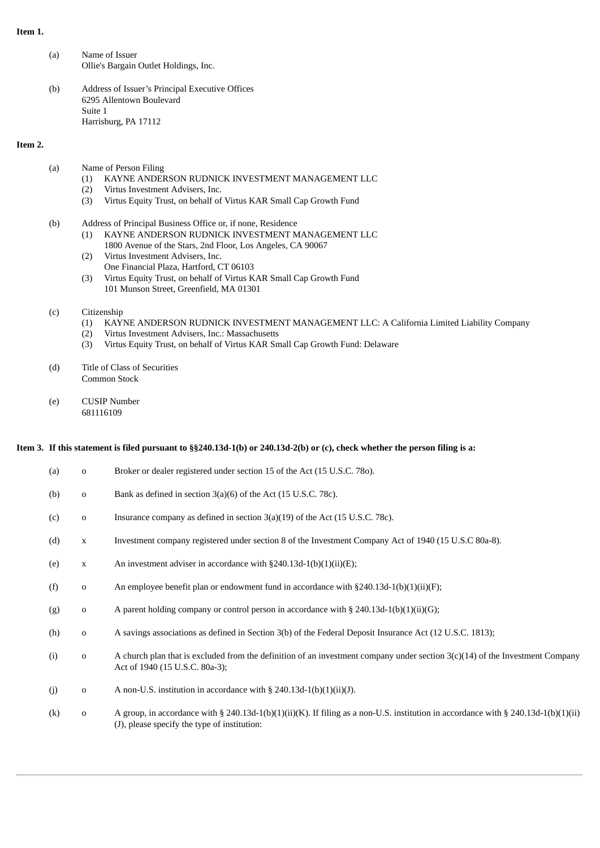#### **Item 1.**

- (a) Name of Issuer Ollie's Bargain Outlet Holdings, Inc.
- (b) Address of Issuer's Principal Executive Offices 6295 Allentown Boulevard Suite 1 Harrisburg, PA 17112

#### **Item 2.**

- (a) Name of Person Filing
	- (1) KAYNE ANDERSON RUDNICK INVESTMENT MANAGEMENT LLC
	- (2) Virtus Investment Advisers, Inc.
	- (3) Virtus Equity Trust, on behalf of Virtus KAR Small Cap Growth Fund
- (b) Address of Principal Business Office or, if none, Residence
	- (1) KAYNE ANDERSON RUDNICK INVESTMENT MANAGEMENT LLC
	- 1800 Avenue of the Stars, 2nd Floor, Los Angeles, CA 90067 (2) Virtus Investment Advisers, Inc.
	- One Financial Plaza, Hartford, CT 06103
	- (3) Virtus Equity Trust, on behalf of Virtus KAR Small Cap Growth Fund 101 Munson Street, Greenfield, MA 01301

#### (c) Citizenship

- (1) KAYNE ANDERSON RUDNICK INVESTMENT MANAGEMENT LLC: A California Limited Liability Company
- (2) Virtus Investment Advisers, Inc.: Massachusetts
- (3) Virtus Equity Trust, on behalf of Virtus KAR Small Cap Growth Fund: Delaware
- (d) Title of Class of Securities Common Stock
- (e) CUSIP Number 681116109

#### Item 3. If this statement is filed pursuant to §§240.13d-1(b) or 240.13d-2(b) or (c), check whether the person filing is a:

| (a) | $\mathbf{O}$ | Broker or dealer registered under section 15 of the Act (15 U.S.C. 780).                                                                                                           |
|-----|--------------|------------------------------------------------------------------------------------------------------------------------------------------------------------------------------------|
| (b) | $\mathbf 0$  | Bank as defined in section 3(a)(6) of the Act (15 U.S.C. 78c).                                                                                                                     |
| (c) | $\mathbf{o}$ | Insurance company as defined in section 3(a)(19) of the Act (15 U.S.C. 78c).                                                                                                       |
| (d) | $\mathbf X$  | Investment company registered under section 8 of the Investment Company Act of 1940 (15 U.S.C 80a-8).                                                                              |
| (e) | $\mathbf X$  | An investment adviser in accordance with $\S240.13d-1(b)(1)(ii)(E)$ ;                                                                                                              |
| (f) | $\mathbf 0$  | An employee benefit plan or endowment fund in accordance with $\S 240.13d-1(b)(1)(ii)(F)$ ;                                                                                        |
| (g) | $\mathbf 0$  | A parent holding company or control person in accordance with § 240.13d-1(b)(1)(ii)(G);                                                                                            |
| (h) | $\mathbf 0$  | A savings associations as defined in Section 3(b) of the Federal Deposit Insurance Act (12 U.S.C. 1813);                                                                           |
| (i) | $\mathbf 0$  | A church plan that is excluded from the definition of an investment company under section $3(c)(14)$ of the Investment Company<br>Act of 1940 (15 U.S.C. 80a-3);                   |
| (j) | $\mathbf 0$  | A non-U.S. institution in accordance with $\S$ 240.13d-1(b)(1)(ii)(J).                                                                                                             |
| (k) | $\mathbf{o}$ | A group, in accordance with § 240.13d-1(b)(1)(ii)(K). If filing as a non-U.S. institution in accordance with § 240.13d-1(b)(1)(ii)<br>(J), please specify the type of institution: |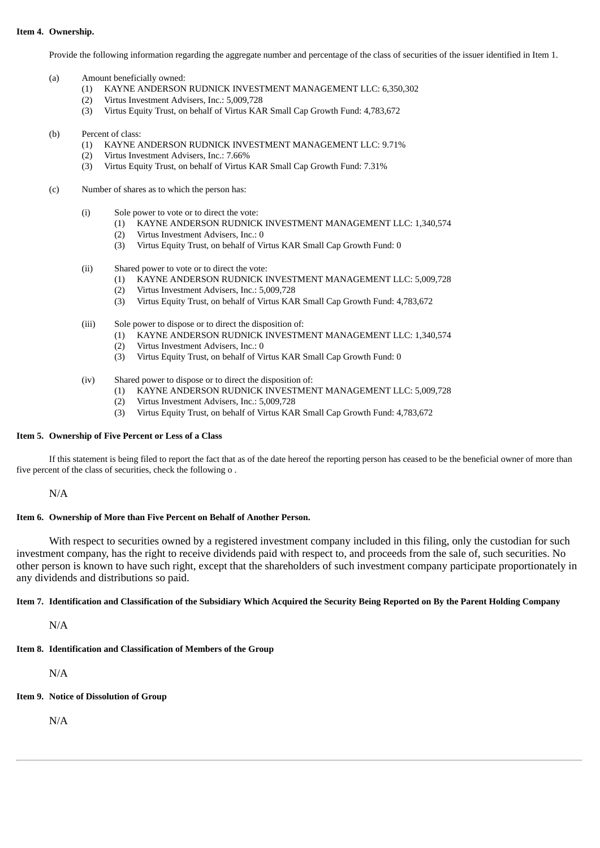#### **Item 4. Ownership.**

Provide the following information regarding the aggregate number and percentage of the class of securities of the issuer identified in Item 1.

- (a) Amount beneficially owned:
	- (1) KAYNE ANDERSON RUDNICK INVESTMENT MANAGEMENT LLC: 6,350,302
	- (2) Virtus Investment Advisers, Inc.: 5,009,728
	- (3) Virtus Equity Trust, on behalf of Virtus KAR Small Cap Growth Fund: 4,783,672

#### (b) Percent of class:

- (1) KAYNE ANDERSON RUDNICK INVESTMENT MANAGEMENT LLC: 9.71%
- (2) Virtus Investment Advisers, Inc.: 7.66%
- (3) Virtus Equity Trust, on behalf of Virtus KAR Small Cap Growth Fund: 7.31%
- (c) Number of shares as to which the person has:
	- (i) Sole power to vote or to direct the vote:
		- (1) KAYNE ANDERSON RUDNICK INVESTMENT MANAGEMENT LLC: 1,340,574
		- (2) Virtus Investment Advisers, Inc.: 0
		- (3) Virtus Equity Trust, on behalf of Virtus KAR Small Cap Growth Fund: 0
	- (ii) Shared power to vote or to direct the vote:
		- (1) KAYNE ANDERSON RUDNICK INVESTMENT MANAGEMENT LLC: 5,009,728
		- (2) Virtus Investment Advisers, Inc.: 5,009,728
		- (3) Virtus Equity Trust, on behalf of Virtus KAR Small Cap Growth Fund: 4,783,672
	- (iii) Sole power to dispose or to direct the disposition of:
		- (1) KAYNE ANDERSON RUDNICK INVESTMENT MANAGEMENT LLC: 1,340,574
		- (2) Virtus Investment Advisers, Inc.: 0
		- (3) Virtus Equity Trust, on behalf of Virtus KAR Small Cap Growth Fund: 0
	- (iv) Shared power to dispose or to direct the disposition of:
		- (1) KAYNE ANDERSON RUDNICK INVESTMENT MANAGEMENT LLC: 5,009,728
		- (2) Virtus Investment Advisers, Inc.: 5,009,728
		- (3) Virtus Equity Trust, on behalf of Virtus KAR Small Cap Growth Fund: 4,783,672

#### **Item 5. Ownership of Five Percent or Less of a Class**

If this statement is being filed to report the fact that as of the date hereof the reporting person has ceased to be the beneficial owner of more than five percent of the class of securities, check the following o .

N/A

### **Item 6. Ownership of More than Five Percent on Behalf of Another Person.**

With respect to securities owned by a registered investment company included in this filing, only the custodian for such investment company, has the right to receive dividends paid with respect to, and proceeds from the sale of, such securities. No other person is known to have such right, except that the shareholders of such investment company participate proportionately in any dividends and distributions so paid.

### Item 7. Identification and Classification of the Subsidiary Which Acquired the Security Being Reported on By the Parent Holding Company

N/A

## **Item 8. Identification and Classification of Members of the Group**

N/A

**Item 9. Notice of Dissolution of Group**

N/A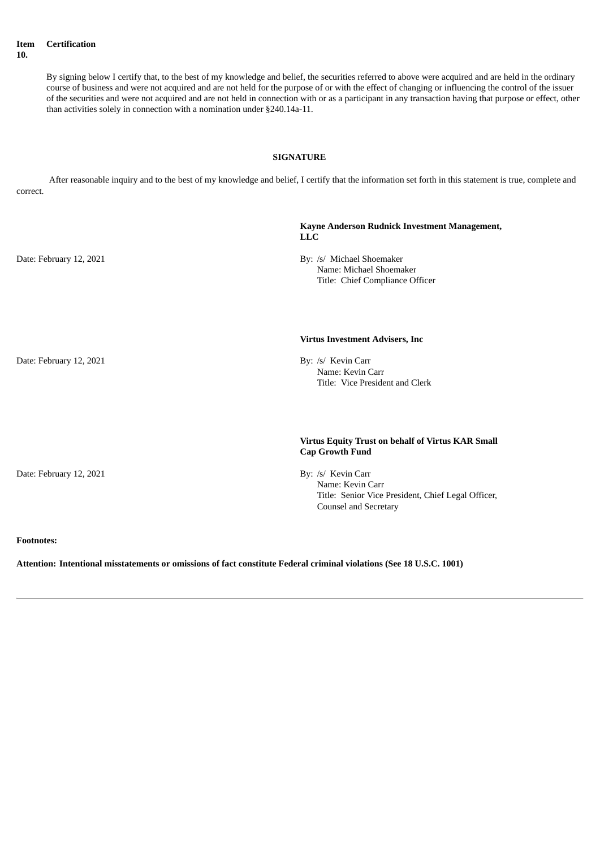**Item 10. Certification**

> By signing below I certify that, to the best of my knowledge and belief, the securities referred to above were acquired and are held in the ordinary course of business and were not acquired and are not held for the purpose of or with the effect of changing or influencing the control of the issuer of the securities and were not acquired and are not held in connection with or as a participant in any transaction having that purpose or effect, other than activities solely in connection with a nomination under §240.14a-11.

#### **SIGNATURE**

After reasonable inquiry and to the best of my knowledge and belief, I certify that the information set forth in this statement is true, complete and correct.

|                         | Kayne Anderson Rudnick Investment Management,<br><b>LLC</b>                                                                  |
|-------------------------|------------------------------------------------------------------------------------------------------------------------------|
| Date: February 12, 2021 | By: /s/ Michael Shoemaker<br>Name: Michael Shoemaker<br>Title: Chief Compliance Officer                                      |
|                         | <b>Virtus Investment Advisers, Inc</b>                                                                                       |
| Date: February 12, 2021 | By: /s/ Kevin Carr<br>Name: Kevin Carr<br>Title: Vice President and Clerk                                                    |
|                         | Virtus Equity Trust on behalf of Virtus KAR Small<br><b>Cap Growth Fund</b>                                                  |
| Date: February 12, 2021 | By: /s/ Kevin Carr<br>Name: Kevin Carr<br>Title: Senior Vice President, Chief Legal Officer,<br><b>Counsel and Secretary</b> |
| <b>Footnotes:</b>       |                                                                                                                              |

## **Attention: Intentional misstatements or omissions of fact constitute Federal criminal violations (See 18 U.S.C. 1001)**